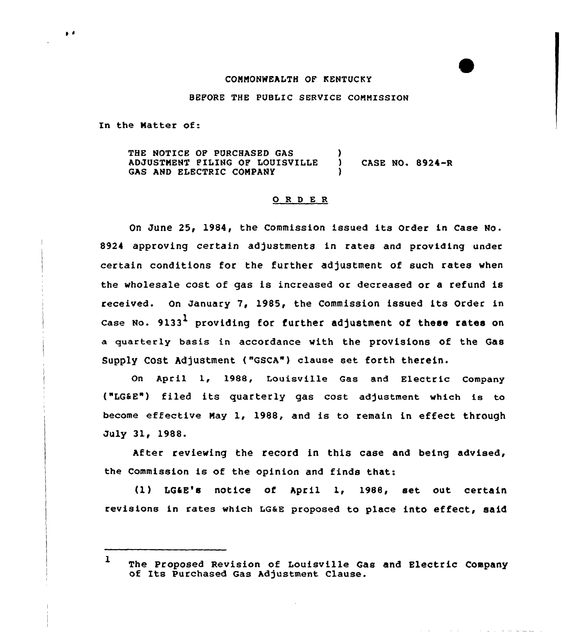### COMMONWEALTH OF KENTUCKY

BEPORE THE PUBLIC SERVICE CONNISSIOM

In the Natter of:

 $\bullet$ 

THE NOTICE OP PURCHASED GAS ADJUSTNENT PILING OP LOUISVILLE ) CASE NO. 8924-R GAS AND ELECTRIC COMPANY

#### ORDER

On June 25, 1984, the Commission issued its Order in Case No. 8924 approving certain adjustments in rates and providing under certain conditions for the further adjustment of such rates when the wholesale cost of gas is increased or decreased or a refund is received. On January 7, 1985, the Commission issued its Order in case No. 9133<sup>1</sup> providing for further adjustment of these rates on a quarterly basis in accordance with the provisions of the Gas Supply Cost Adjustment ("GSCA") clause set forth therein.

On April 1, 1988, Louisville Gas and Electric Company ("LG&E") filed its quarterly gas cost adjustment which is to become effective Nay 1, 1988, and is to remain in effect through July 31, 1988.

After reviewing the record in this case and being advised, the Commission is of the opinion and finds that:

(1) LG4E's notice of April 1, 198B, set out certain revisions in rates which LQ&E proposed to place into effect, said

ست سے بعد اللہ اللہ اللہ اللہ اللہ اللہ ا

<sup>1</sup> The Proposed Revision of Louisville Gas and Electric Company of Its Purchased Gas Adjustment Clause.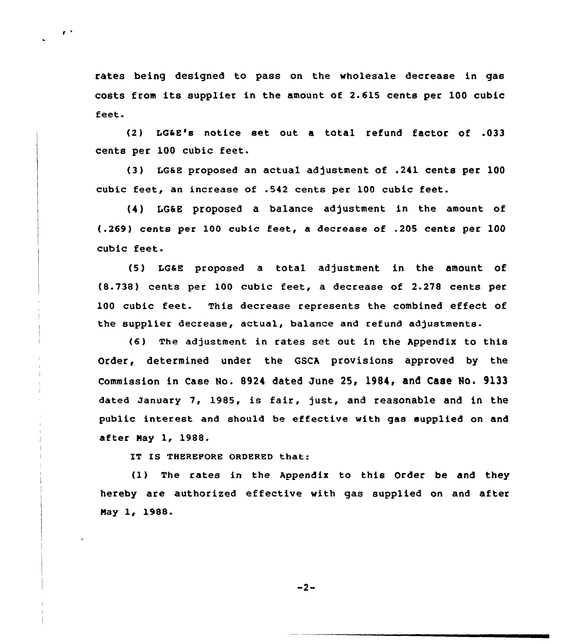rates being designed to pass on the wholesale decrease in gas costs from its supplier in the amount of 2-615 cents per 100 cubic feet.

(2) LGaE's notice set out a total refund factor of .033 cents per 100 cubic feet.

(3) LGaE proposed an actual adjustment of .241 cents per 100 cubic feet, an increase of .542 cents per 100 cubic feet.

(4) IG&E proposed a balance adjustment in the amount of (.269) cents per 100 cubic feet, a decrease of .205 cents per 100 cubic feet.

(5) LG&E proposed a total adjustment in the amount of (8.738) cents per 100 cubic feet, a decrease of 2.278 cents per 100 cubic feet. This decrease represents the combined effect of the supplier decrease, actual, balance and refund adjustments.

(6 ) The adjustment in rates set out in the Appendix to this Order, determined under the GSCA provisions approved by the commission in case No. 8924 dated June 25, 1984, and Caee No. 9133 dated January 7, 1985, is fair, just, and reasonable and in the public interest and should be effective with gas supplied on and after Nay 1, 1988.

IT IS THEREPORE ORDERED that:

 $\mathbf{r}$ 

(1) The rates in the Appendix to this Order be and they hereby are authorized effective with gas supplied on and after Nay 1, 1988.

 $-2-$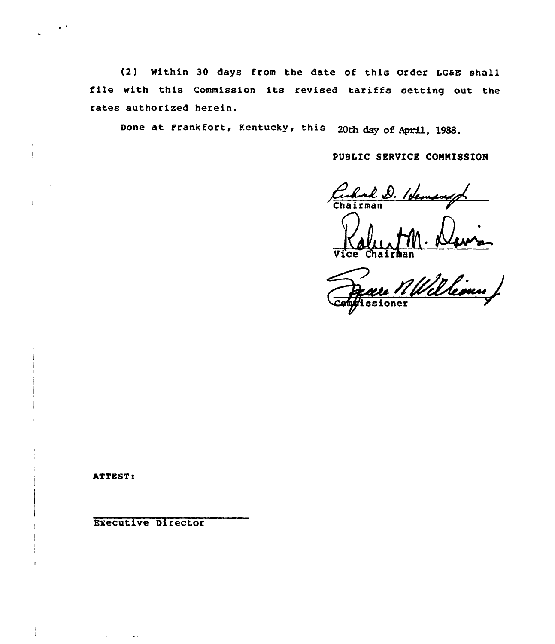(2) Within 30 days from the date of this Order LGSE shall file with this Commission its revised tariffs setting out the rates authorized herein. authorized herein.<br>Done at Frankfort, Kentucky, this 20th day of April

lg88

PUBLIC SERVICE CONNISSION

Culul D. Ideman

Je crairman<br>Deare Mulleous /

ATTEST:

Executive Director